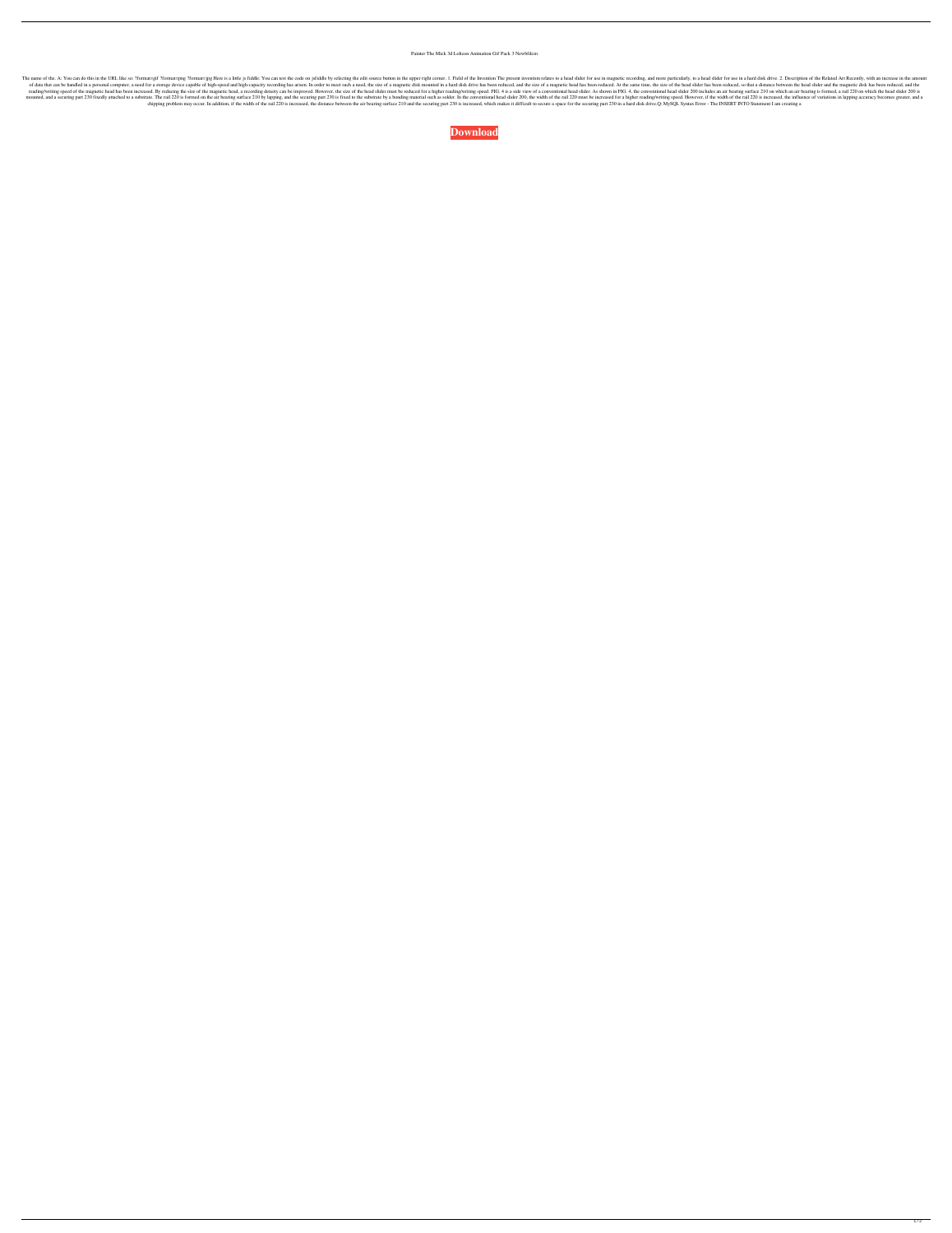## Painter The Mick 3d Lolicon Animation Gif Pack 3 Newbfdcm

The name of the. A: You can do this in the URL like so: ?format=gif ?format=gif ?format=gif ?format=gif ?format=jpg Here is a little js fiddle: You can test the code on jsfiddle by selecting the edit source button in the u of data that can be handled in a personal computer, a need for a storage device capable of high-speed and high-speed and high-capacity recording has arisen. In order to meet such a need, the size of a magnetic disk mounted reading/writing speed of the magnetic head has been increased. By reducing the size of the magnetic head, a recording density can be improved. However, the size of the head slider must be reduced for a higher reading/writi mounted, and a securing part 230 fixedly attached to a substrate. The rail 220 is formed on the air bearing surface 210 by lapping, and the securing part 230 is fixed to the substrate by a bonding material such as solder. chipping problem may occur. In addition, if the width of the rail 220 is increased, the distance between the air bearing surface 210 and the securing part 230 is increased, which makes it difficult to secure a space for th